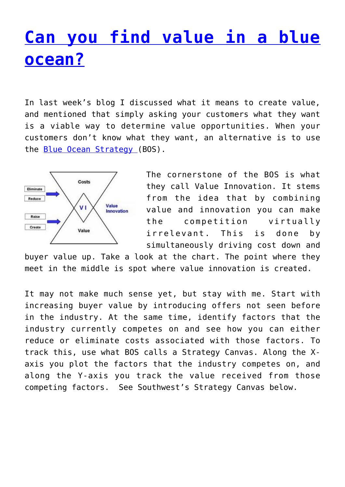## **[Can you find value in a blue](http://anentrepreneurialjourney.com/can-you-find-value-in-a-blue-ocean/) [ocean?](http://anentrepreneurialjourney.com/can-you-find-value-in-a-blue-ocean/)**

In last week's blog I discussed what it means to create value, and mentioned that simply asking your customers what they want is a viable way to determine value opportunities. When your customers don't know what they want, an alternative is to use the [Blue Ocean Strategy \(](http://www.blueoceanstrategy.com/)BOS).



The cornerstone of the BOS is what they call Value Innovation. It stems from the idea that by combining value and innovation you can make the competition virtually irrelevant. This is done by simultaneously driving cost down and

buyer value up. Take a look at the chart. The point where they meet in the middle is spot where value innovation is created.

It may not make much sense yet, but stay with me. Start with increasing buyer value by introducing offers not seen before in the industry. At the same time, identify factors that the industry currently competes on and see how you can either reduce or eliminate costs associated with those factors. To track this, use what BOS calls a Strategy Canvas. Along the Xaxis you plot the factors that the industry competes on, and along the Y-axis you track the value received from those competing factors. See Southwest's Strategy Canvas below.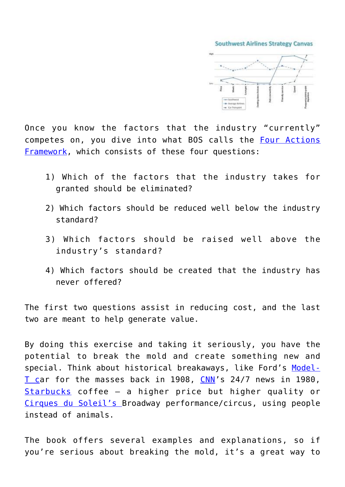**Southwest Airlines Strategy Canyas** 



Once you know the factors that the industry "currently" competes on, you dive into what BOS calls the [Four Actions](http://www.blueoceanstrategy.com/abo/4_action.html) [Framework,](http://www.blueoceanstrategy.com/abo/4_action.html) which consists of these four questions:

- 1) Which of the factors that the industry takes for granted should be eliminated?
- 2) Which factors should be reduced well below the industry standard?
- 3) Which factors should be raised well above the industry's standard?
- 4) Which factors should be created that the industry has never offered?

The first two questions assist in reducing cost, and the last two are meant to help generate value.

By doing this exercise and taking it seriously, you have the potential to break the mold and create something new and special. Think about historical breakaways, like Ford's [Model-](http://en.wikipedia.org/wiki/Ford_Model_T)[T ca](http://en.wikipedia.org/wiki/Ford_Model_T)r for the masses back in 1908, [CNN'](http://en.wikipedia.org/wiki/History_of_CNN_(1980%E2%80%932003))s 24/7 news in 1980, [Starbucks](http://en.wikipedia.org/wiki/Starbucks) coffee – a higher price but higher quality or [Cirques du Soleil's B](http://en.wikipedia.org/wiki/Cirque_du_Soleil)roadway performance/circus, using people instead of animals.

The book offers several examples and explanations, so if you're serious about breaking the mold, it's a great way to